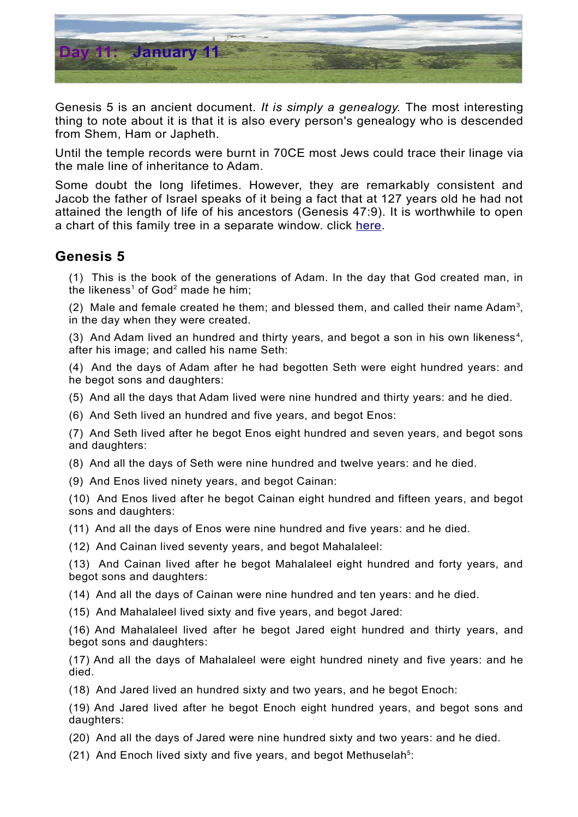

Genesis 5 is an ancient document. *It is simply a genealogy.* The most interesting thing to note about it is that it is also every person's genealogy who is descended from Shem, Ham or Japheth.

Until the temple records were burnt in 70CE most Jews could trace their linage via the male line of inheritance to Adam.

Some doubt the long lifetimes. However, they are remarkably consistent and Jacob the father of Israel speaks of it being a fact that at 127 years old he had not attained the length of life of his ancestors (Genesis 47:9). It is worthwhile to open a chart of this family tree in a separate window. click [here.](http://biblefocus.net/files/Timeline_AdamtoAbraham.pdf)

## **Genesis 5**

(1) This is the book of the generations of Adam. In the day that God created man, in the likeness<sup>[1](#page-1-0)</sup> of God<sup>[2](#page-1-1)</sup> made he him;

(2) Male and female created he them; and blessed them, and called their name Adam<sup>[3](#page-1-2)</sup>, in the day when they were created.

(3) And Adam lived an hundred and thirty years, and begot a son in his own likeness<sup>[4](#page-1-3)</sup>, after his image; and called his name Seth:

(4) And the days of Adam after he had begotten Seth were eight hundred years: and he begot sons and daughters:

(5) And all the days that Adam lived were nine hundred and thirty years: and he died.

(6) And Seth lived an hundred and five years, and begot Enos:

(7) And Seth lived after he begot Enos eight hundred and seven years, and begot sons and daughters:

(8) And all the days of Seth were nine hundred and twelve years: and he died.

(9) And Enos lived ninety years, and begot Cainan:

(10) And Enos lived after he begot Cainan eight hundred and fifteen years, and begot sons and daughters:

(11) And all the days of Enos were nine hundred and five years: and he died.

(12) And Cainan lived seventy years, and begot Mahalaleel:

(13) And Cainan lived after he begot Mahalaleel eight hundred and forty years, and begot sons and daughters:

(14) And all the days of Cainan were nine hundred and ten years: and he died.

(15) And Mahalaleel lived sixty and five years, and begot Jared:

(16) And Mahalaleel lived after he begot Jared eight hundred and thirty years, and begot sons and daughters:

(17) And all the days of Mahalaleel were eight hundred ninety and five years: and he died.

(18) And Jared lived an hundred sixty and two years, and he begot Enoch:

(19) And Jared lived after he begot Enoch eight hundred years, and begot sons and daughters:

(20) And all the days of Jared were nine hundred sixty and two years: and he died.

(21) And Enoch lived sixty and five years, and begot Methuselah<sup>[5](#page-1-4)</sup>: